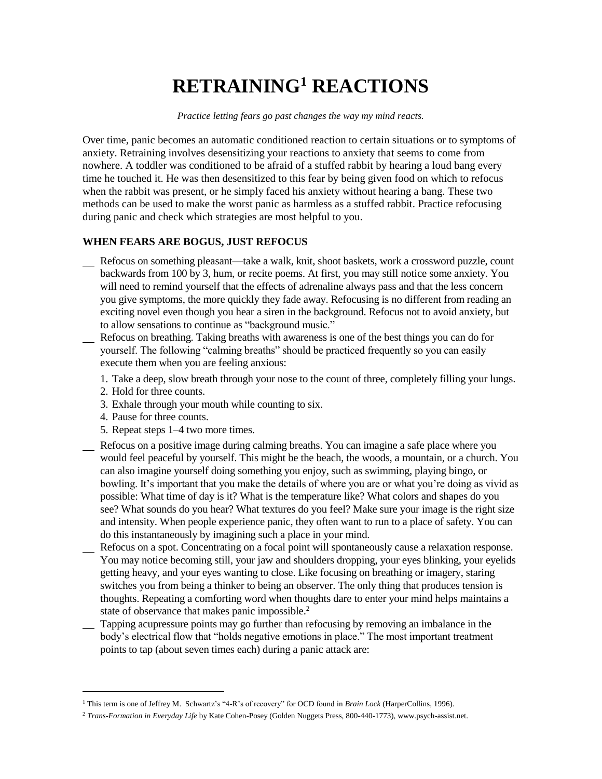## **RETRAINING<sup>1</sup> REACTIONS**

*Practice letting fears go past changes the way my mind reacts.*

Over time, panic becomes an automatic conditioned reaction to certain situations or to symptoms of anxiety. Retraining involves desensitizing your reactions to anxiety that seems to come from nowhere. A toddler was conditioned to be afraid of a stuffed rabbit by hearing a loud bang every time he touched it. He was then desensitized to this fear by being given food on which to refocus when the rabbit was present, or he simply faced his anxiety without hearing a bang. These two methods can be used to make the worst panic as harmless as a stuffed rabbit. Practice refocusing during panic and check which strategies are most helpful to you.

## **WHEN FEARS ARE BOGUS, JUST REFOCUS**

- Refocus on something pleasant—take a walk, knit, shoot baskets, work a crossword puzzle, count backwards from 100 by 3, hum, or recite poems. At first, you may still notice some anxiety. You will need to remind yourself that the effects of adrenaline always pass and that the less concern you give symptoms, the more quickly they fade away. Refocusing is no different from reading an exciting novel even though you hear a siren in the background. Refocus not to avoid anxiety, but to allow sensations to continue as "background music."
- Refocus on breathing. Taking breaths with awareness is one of the best things you can do for yourself. The following "calming breaths" should be practiced frequently so you can easily execute them when you are feeling anxious:
	- 1. Take a deep, slow breath through your nose to the count of three, completely filling your lungs.
	- 2. Hold for three counts.
	- 3. Exhale through your mouth while counting to six.
	- 4. Pause for three counts.

l

- 5. Repeat steps 1–4 two more times.
- Refocus on a positive image during calming breaths. You can imagine a safe place where you would feel peaceful by yourself. This might be the beach, the woods, a mountain, or a church. You can also imagine yourself doing something you enjoy, such as swimming, playing bingo, or bowling. It's important that you make the details of where you are or what you're doing as vivid as possible: What time of day is it? What is the temperature like? What colors and shapes do you see? What sounds do you hear? What textures do you feel? Make sure your image is the right size and intensity. When people experience panic, they often want to run to a place of safety. You can do this instantaneously by imagining such a place in your mind.
- Refocus on a spot. Concentrating on a focal point will spontaneously cause a relaxation response. You may notice becoming still, your jaw and shoulders dropping, your eyes blinking, your eyelids getting heavy, and your eyes wanting to close. Like focusing on breathing or imagery, staring switches you from being a thinker to being an observer. The only thing that produces tension is thoughts. Repeating a comforting word when thoughts dare to enter your mind helps maintains a state of observance that makes panic impossible.<sup>2</sup>
- Tapping acupressure points may go further than refocusing by removing an imbalance in the body's electrical flow that "holds negative emotions in place." The most important treatment points to tap (about seven times each) during a panic attack are:

<sup>1</sup> This term is one of Jeffrey M. Schwartz's "4-R's of recovery" for OCD found in *Brain Lock* (HarperCollins, 1996).

<sup>2</sup> *Trans-Formation in Everyday Life* by Kate Cohen-Posey (Golden Nuggets Press, 800-440-1773), www.psych-assist.net.